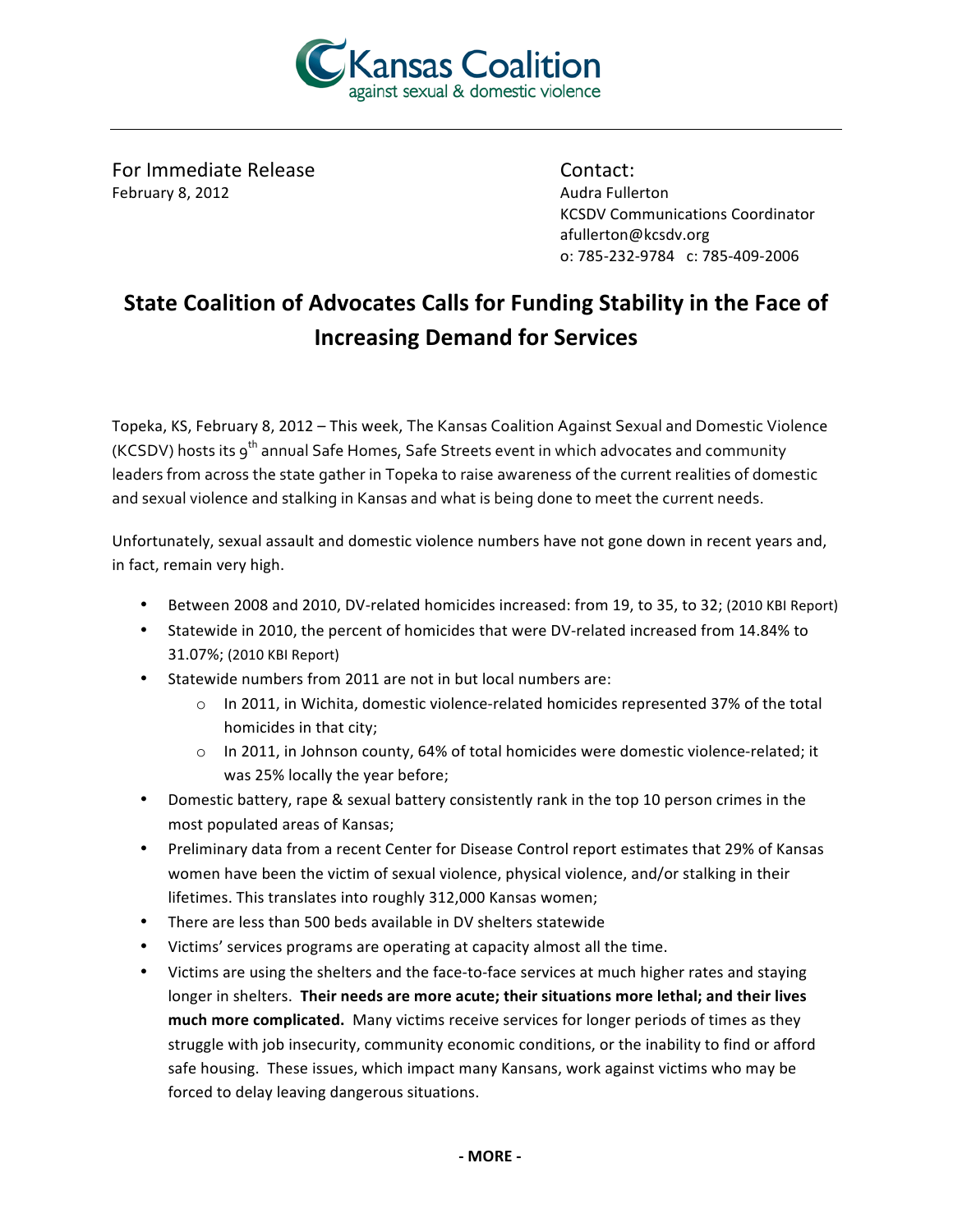

For Immediate Release February 8, 2012

Contact: Audra Fullerton **KCSDV Communications Coordinator** afullerton@kcsdv.org o: 785-232-9784 c: 785-409-2006

## State Coalition of Advocates Calls for Funding Stability in the Face of **Increasing Demand for Services**

Topeka, KS, February 8, 2012 - This week, The Kansas Coalition Against Sexual and Domestic Violence (KCSDV) hosts its 9<sup>th</sup> annual Safe Homes, Safe Streets event in which advocates and community leaders from across the state gather in Topeka to raise awareness of the current realities of domestic and sexual violence and stalking in Kansas and what is being done to meet the current needs.

Unfortunately, sexual assault and domestic violence numbers have not gone down in recent years and, in fact, remain very high.

- Between 2008 and 2010, DV-related homicides increased: from 19, to 35, to 32; (2010 KBI Report)
- Statewide in 2010, the percent of homicides that were DV-related increased from 14.84% to 31.07%; (2010 KBI Report)
- Statewide numbers from 2011 are not in but local numbers are:
	- $\circ$  In 2011, in Wichita, domestic violence-related homicides represented 37% of the total homicides in that city;
	- o In 2011, in Johnson county, 64% of total homicides were domestic violence-related; it was 25% locally the year before;
- Domestic battery, rape & sexual battery consistently rank in the top 10 person crimes in the most populated areas of Kansas;
- Preliminary data from a recent Center for Disease Control report estimates that 29% of Kansas women have been the victim of sexual violence, physical violence, and/or stalking in their lifetimes. This translates into roughly 312,000 Kansas women;
- There are less than 500 beds available in DV shelters statewide
- Victims' services programs are operating at capacity almost all the time.
- Victims are using the shelters and the face-to-face services at much higher rates and staying longer in shelters. Their needs are more acute; their situations more lethal; and their lives much more complicated. Many victims receive services for longer periods of times as they struggle with job insecurity, community economic conditions, or the inability to find or afford safe housing. These issues, which impact many Kansans, work against victims who may be forced to delay leaving dangerous situations.